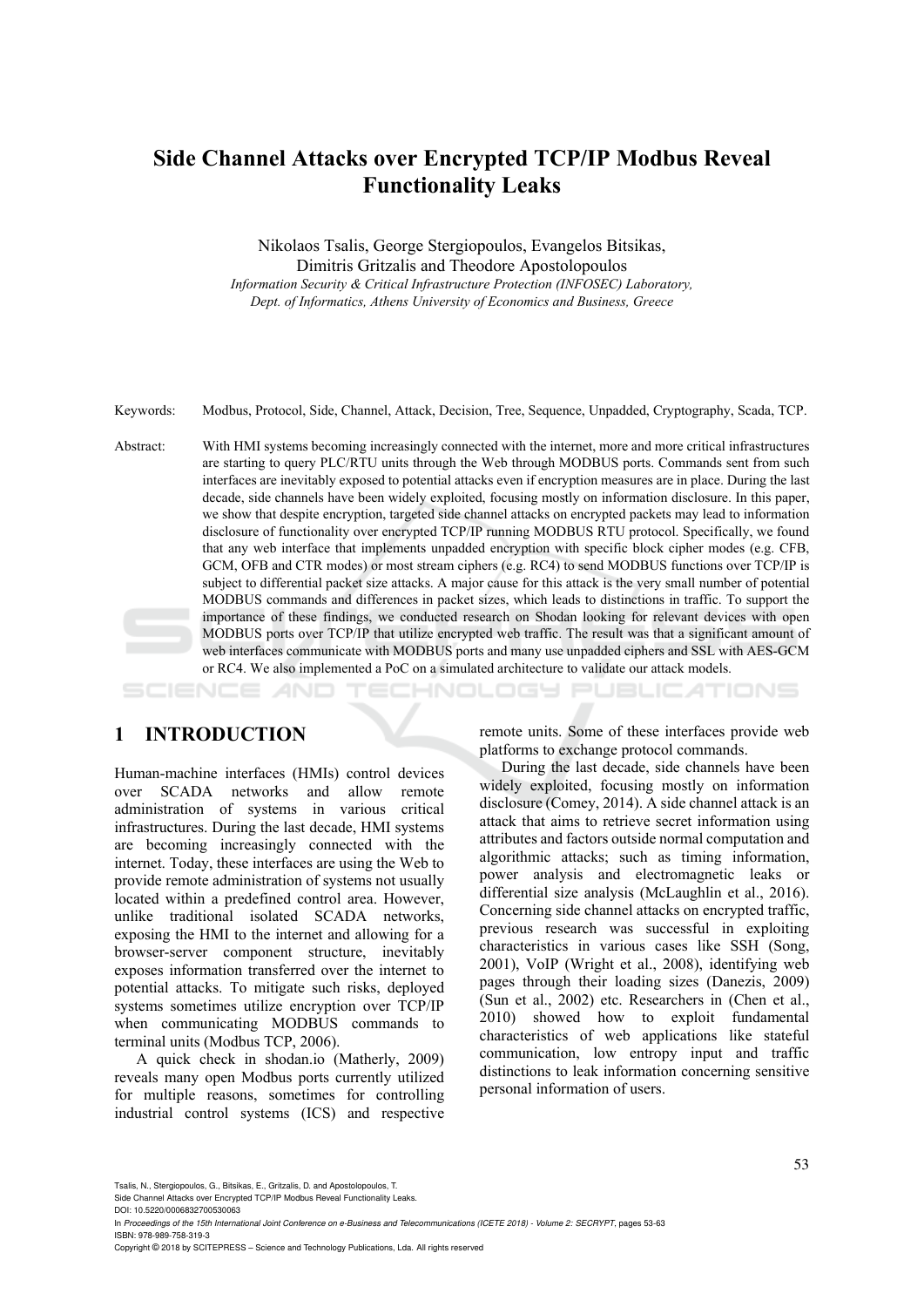# **Side Channel Attacks over Encrypted TCP/IP Modbus Reveal Functionality Leaks**

Nikolaos Tsalis, George Stergiopoulos, Evangelos Bitsikas, Dimitris Gritzalis and Theodore Apostolopoulos *Information Security & Critical Infrastructure Protection (INFOSEC) Laboratory, Dept. of Informatics, Athens University of Economics and Business, Greece* 

Keywords: Modbus, Protocol, Side, Channel, Attack, Decision, Tree, Sequence, Unpadded, Cryptography, Scada, TCP.

Abstract: With HMI systems becoming increasingly connected with the internet, more and more critical infrastructures are starting to query PLC/RTU units through the Web through MODBUS ports. Commands sent from such interfaces are inevitably exposed to potential attacks even if encryption measures are in place. During the last decade, side channels have been widely exploited, focusing mostly on information disclosure. In this paper, we show that despite encryption, targeted side channel attacks on encrypted packets may lead to information disclosure of functionality over encrypted TCP/IP running MODBUS RTU protocol. Specifically, we found that any web interface that implements unpadded encryption with specific block cipher modes (e.g. CFB, GCM, OFB and CTR modes) or most stream ciphers (e.g. RC4) to send MODBUS functions over TCP/IP is subject to differential packet size attacks. A major cause for this attack is the very small number of potential MODBUS commands and differences in packet sizes, which leads to distinctions in traffic. To support the importance of these findings, we conducted research on Shodan looking for relevant devices with open MODBUS ports over TCP/IP that utilize encrypted web traffic. The result was that a significant amount of web interfaces communicate with MODBUS ports and many use unpadded ciphers and SSL with AES-GCM or RC4. We also implemented a PoC on a simulated architecture to validate our attack models.

SCIENCE HNOLOGY **JBLICATIONS** 

## **1 INTRODUCTION**

Human-machine interfaces (HMIs) control devices over SCADA networks and allow remote administration of systems in various critical infrastructures. During the last decade, HMI systems are becoming increasingly connected with the internet. Today, these interfaces are using the Web to provide remote administration of systems not usually located within a predefined control area. However, unlike traditional isolated SCADA networks, exposing the HMI to the internet and allowing for a browser-server component structure, inevitably exposes information transferred over the internet to potential attacks. To mitigate such risks, deployed systems sometimes utilize encryption over TCP/IP when communicating MODBUS commands to terminal units (Modbus TCP, 2006).

A quick check in shodan.io (Matherly, 2009) reveals many open Modbus ports currently utilized for multiple reasons, sometimes for controlling industrial control systems (ICS) and respective remote units. Some of these interfaces provide web platforms to exchange protocol commands.

During the last decade, side channels have been widely exploited, focusing mostly on information disclosure (Comey, 2014). A side channel attack is an attack that aims to retrieve secret information using attributes and factors outside normal computation and algorithmic attacks; such as timing information, power analysis and electromagnetic leaks or differential size analysis (McLaughlin et al., 2016). Concerning side channel attacks on encrypted traffic, previous research was successful in exploiting characteristics in various cases like SSH (Song, 2001), VoIP (Wright et al., 2008), identifying web pages through their loading sizes (Danezis, 2009) (Sun et al., 2002) etc. Researchers in (Chen et al., 2010) showed how to exploit fundamental characteristics of web applications like stateful communication, low entropy input and traffic distinctions to leak information concerning sensitive personal information of users.

Tsalis, N., Stergiopoulos, G., Bitsikas, E., Gritzalis, D. and Apostolopoulos, T.

Side Channel Attacks over Encrypted TCP/IP Modbus Reveal Functionality Leaks.

Copyright © 2018 by SCITEPRESS – Science and Technology Publications, Lda. All rights reserved

DOI: 10.5220/0006832700530063

In *Proceedings of the 15th International Joint Conference on e-Business and Telecommunications (ICETE 2018) - Volume 2: SECRYPT*, pages 53-63 ISBN: 978-989-758-319-3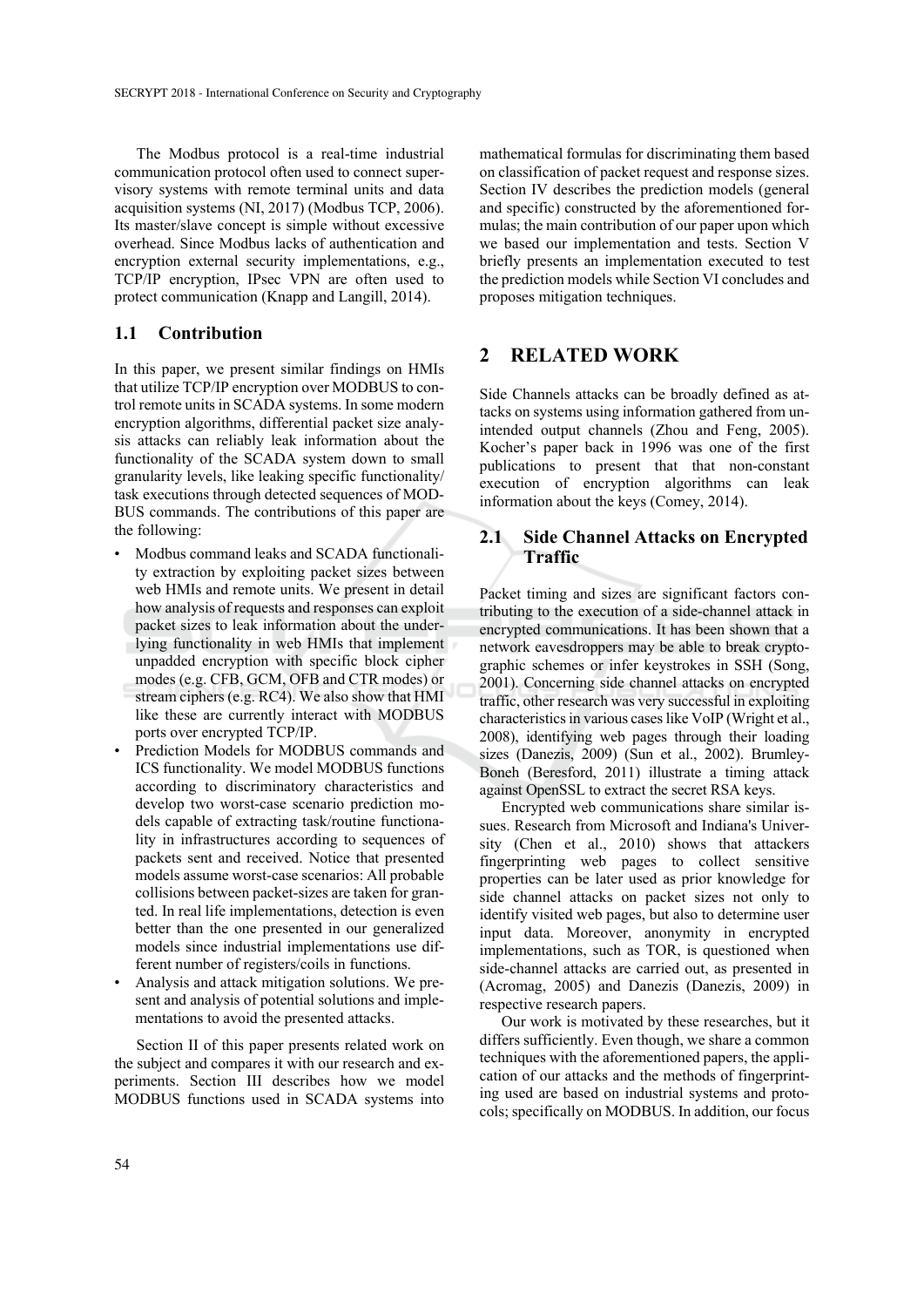The Modbus protocol is a real-time industrial communication protocol often used to connect supervisory systems with remote terminal units and data acquisition systems (NI, 2017) (Modbus TCP, 2006). Its master/slave concept is simple without excessive overhead. Since Modbus lacks of authentication and encryption external security implementations, e.g., TCP/IP encryption, IPsec VPN are often used to protect communication (Knapp and Langill, 2014).

### **1.1 Contribution**

In this paper, we present similar findings on HMIs that utilize TCP/IP encryption over MODBUS to control remote units in SCADA systems. In some modern encryption algorithms, differential packet size analysis attacks can reliably leak information about the functionality of the SCADA system down to small granularity levels, like leaking specific functionality/ task executions through detected sequences of MOD-BUS commands. The contributions of this paper are the following:

- Modbus command leaks and SCADA functionality extraction by exploiting packet sizes between web HMIs and remote units. We present in detail how analysis of requests and responses can exploit packet sizes to leak information about the underlying functionality in web HMIs that implement unpadded encryption with specific block cipher modes (e.g. CFB, GCM, OFB and CTR modes) or stream ciphers (e.g. RC4). We also show that HMI like these are currently interact with MODBUS ports over encrypted TCP/IP.
- Prediction Models for MODBUS commands and ICS functionality. We model MODBUS functions according to discriminatory characteristics and develop two worst-case scenario prediction models capable of extracting task/routine functionality in infrastructures according to sequences of packets sent and received. Notice that presented models assume worst-case scenarios: All probable collisions between packet-sizes are taken for granted. In real life implementations, detection is even better than the one presented in our generalized models since industrial implementations use different number of registers/coils in functions.
- Analysis and attack mitigation solutions. We present and analysis of potential solutions and implementations to avoid the presented attacks.

Section II of this paper presents related work on the subject and compares it with our research and experiments. Section III describes how we model MODBUS functions used in SCADA systems into

mathematical formulas for discriminating them based on classification of packet request and response sizes. Section IV describes the prediction models (general and specific) constructed by the aforementioned formulas; the main contribution of our paper upon which we based our implementation and tests. Section V briefly presents an implementation executed to test the prediction models while Section VI concludes and proposes mitigation techniques.

## **2 RELATED WORK**

Side Channels attacks can be broadly defined as attacks on systems using information gathered from unintended output channels (Zhou and Feng, 2005). Kocher's paper back in 1996 was one of the first publications to present that that non-constant execution of encryption algorithms can leak information about the keys (Comey, 2014).

### **2.1 Side Channel Attacks on Encrypted Traffic**

Packet timing and sizes are significant factors contributing to the execution of a side-channel attack in encrypted communications. It has been shown that a network eavesdroppers may be able to break cryptographic schemes or infer keystrokes in SSH (Song, 2001). Concerning side channel attacks on encrypted traffic, other research was very successful in exploiting characteristics in various cases like VoIP (Wright et al., 2008), identifying web pages through their loading sizes (Danezis, 2009) (Sun et al., 2002). Brumley-Boneh (Beresford, 2011) illustrate a timing attack against OpenSSL to extract the secret RSA keys.

Encrypted web communications share similar issues. Research from Microsoft and Indiana's University (Chen et al., 2010) shows that attackers fingerprinting web pages to collect sensitive properties can be later used as prior knowledge for side channel attacks on packet sizes not only to identify visited web pages, but also to determine user input data. Moreover, anonymity in encrypted implementations, such as TOR, is questioned when side-channel attacks are carried out, as presented in (Acromag, 2005) and Danezis (Danezis, 2009) in respective research papers.

Our work is motivated by these researches, but it differs sufficiently. Even though, we share a common techniques with the aforementioned papers, the application of our attacks and the methods of fingerprinting used are based on industrial systems and protocols; specifically on MODBUS. In addition, our focus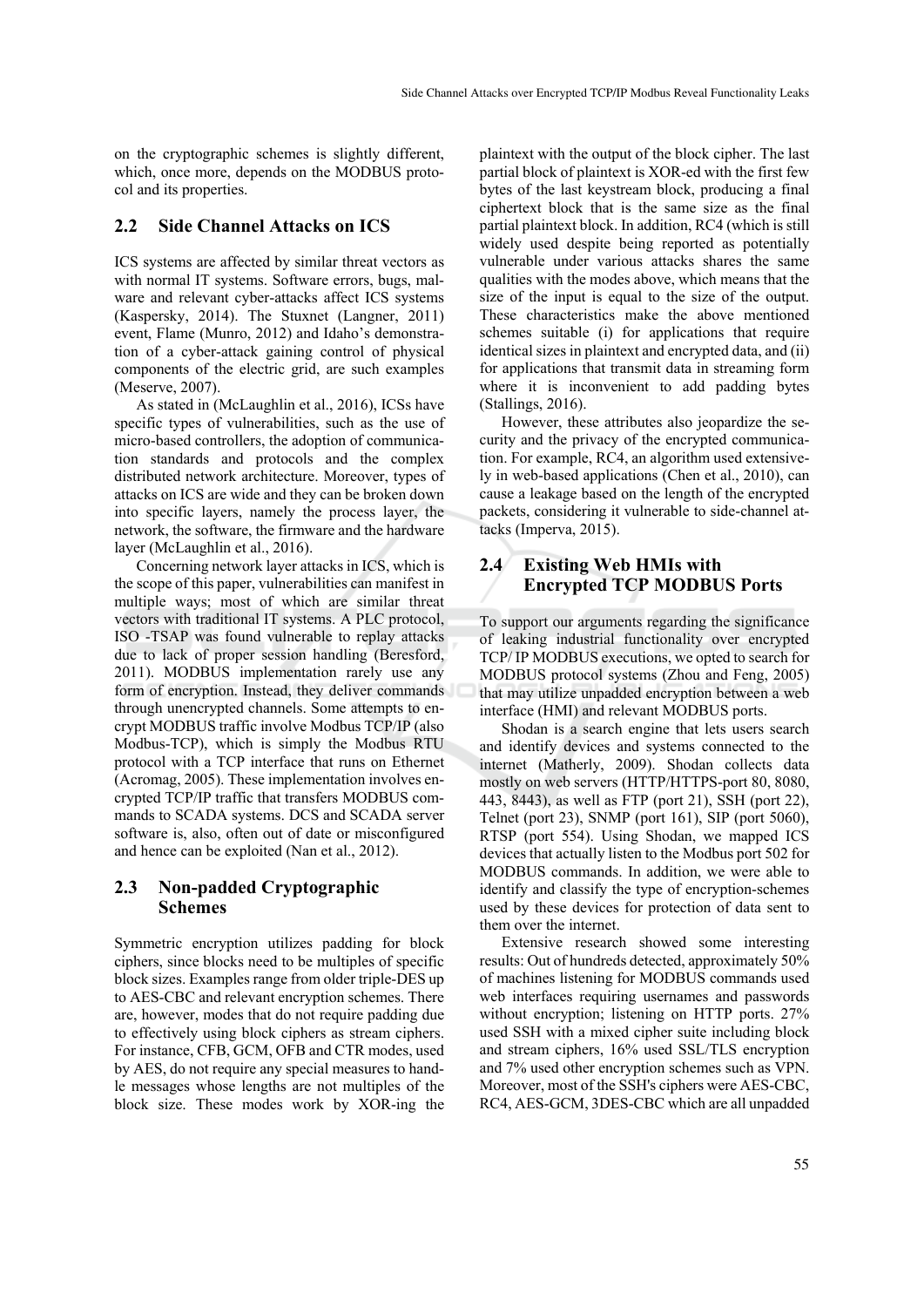on the cryptographic schemes is slightly different, which, once more, depends on the MODBUS protocol and its properties.

### **2.2 Side Channel Attacks on ICS**

ICS systems are affected by similar threat vectors as with normal IT systems. Software errors, bugs, malware and relevant cyber-attacks affect ICS systems (Kaspersky, 2014). The Stuxnet (Langner, 2011) event, Flame (Munro, 2012) and Idaho's demonstration of a cyber-attack gaining control of physical components of the electric grid, are such examples (Meserve, 2007).

As stated in (McLaughlin et al., 2016), ICSs have specific types of vulnerabilities, such as the use of micro-based controllers, the adoption of communication standards and protocols and the complex distributed network architecture. Moreover, types of attacks on ICS are wide and they can be broken down into specific layers, namely the process layer, the network, the software, the firmware and the hardware layer (McLaughlin et al., 2016).

Concerning network layer attacks in ICS, which is the scope of this paper, vulnerabilities can manifest in multiple ways; most of which are similar threat vectors with traditional IT systems. A PLC protocol, ISO -TSAP was found vulnerable to replay attacks due to lack of proper session handling (Beresford, 2011). MODBUS implementation rarely use any form of encryption. Instead, they deliver commands through unencrypted channels. Some attempts to encrypt MODBUS traffic involve Modbus TCP/IP (also Modbus-TCP), which is simply the Modbus RTU protocol with a TCP interface that runs on Ethernet (Acromag, 2005). These implementation involves encrypted TCP/IP traffic that transfers MODBUS commands to SCADA systems. DCS and SCADA server software is, also, often out of date or misconfigured and hence can be exploited (Nan et al., 2012).

## **2.3 Non-padded Cryptographic Schemes**

Symmetric encryption utilizes padding for block ciphers, since blocks need to be multiples of specific block sizes. Examples range from older triple-DES up to AES-CBC and relevant encryption schemes. There are, however, modes that do not require padding due to effectively using block ciphers as stream ciphers. For instance, CFB, GCM, OFB and CTR modes, used by AES, do not require any special measures to handle messages whose lengths are not multiples of the block size. These modes work by XOR-ing the

plaintext with the output of the block cipher. The last partial block of plaintext is XOR-ed with the first few bytes of the last keystream block, producing a final ciphertext block that is the same size as the final partial plaintext block. In addition, RC4 (which is still widely used despite being reported as potentially vulnerable under various attacks shares the same qualities with the modes above, which means that the size of the input is equal to the size of the output. These characteristics make the above mentioned schemes suitable (i) for applications that require identical sizes in plaintext and encrypted data, and (ii) for applications that transmit data in streaming form where it is inconvenient to add padding bytes (Stallings, 2016).

However, these attributes also jeopardize the security and the privacy of the encrypted communication. For example, RC4, an algorithm used extensively in web-based applications (Chen et al., 2010), can cause a leakage based on the length of the encrypted packets, considering it vulnerable to side-channel attacks (Imperva, 2015).

### **2.4 Existing Web HMIs with Encrypted TCP MODBUS Ports**

To support our arguments regarding the significance of leaking industrial functionality over encrypted TCP/ IP MODBUS executions, we opted to search for MODBUS protocol systems (Zhou and Feng, 2005) that may utilize unpadded encryption between a web interface (HMI) and relevant MODBUS ports.

Shodan is a search engine that lets users search and identify devices and systems connected to the internet (Matherly, 2009). Shodan collects data mostly on web servers (HTTP/HTTPS-port 80, 8080, 443, 8443), as well as FTP (port 21), SSH (port 22), Telnet (port 23), SNMP (port 161), SIP (port 5060), RTSP (port 554). Using Shodan, we mapped ICS devices that actually listen to the Modbus port 502 for MODBUS commands. In addition, we were able to identify and classify the type of encryption-schemes used by these devices for protection of data sent to them over the internet.

Extensive research showed some interesting results: Out of hundreds detected, approximately 50% of machines listening for MODBUS commands used web interfaces requiring usernames and passwords without encryption; listening on HTTP ports. 27% used SSH with a mixed cipher suite including block and stream ciphers, 16% used SSL/TLS encryption and 7% used other encryption schemes such as VPN. Moreover, most of the SSH's ciphers were AES-CBC, RC4, AES-GCM, 3DES-CBC which are all unpadded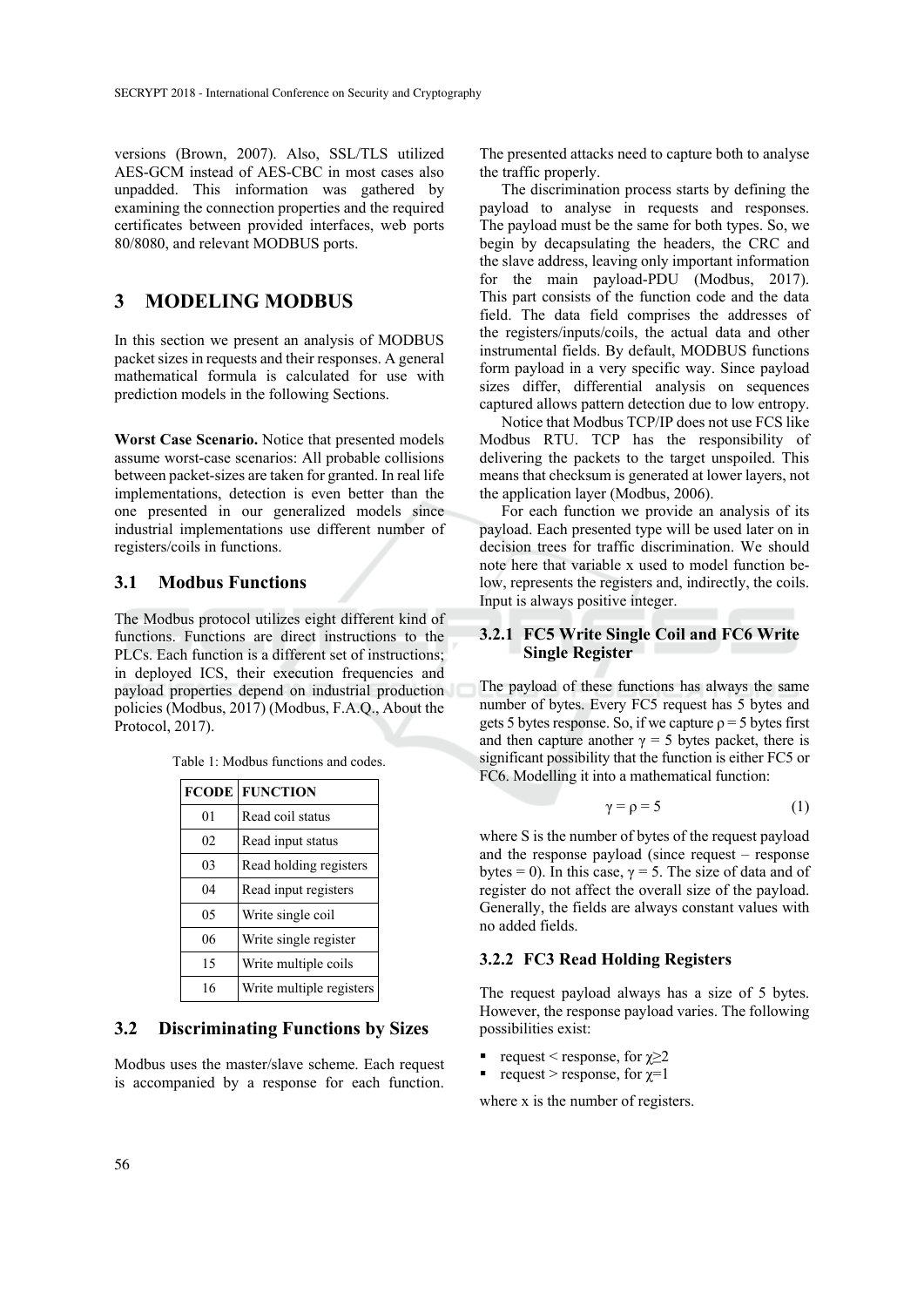versions (Brown, 2007). Also, SSL/TLS utilized AES-GCM instead of AES-CBC in most cases also unpadded. This information was gathered by examining the connection properties and the required certificates between provided interfaces, web ports 80/8080, and relevant MODBUS ports.

## **3 MODELING MODBUS**

In this section we present an analysis of MODBUS packet sizes in requests and their responses. A general mathematical formula is calculated for use with prediction models in the following Sections.

**Worst Case Scenario.** Notice that presented models assume worst-case scenarios: All probable collisions between packet-sizes are taken for granted. In real life implementations, detection is even better than the one presented in our generalized models since industrial implementations use different number of registers/coils in functions.

#### **3.1 Modbus Functions**

The Modbus protocol utilizes eight different kind of functions. Functions are direct instructions to the PLCs. Each function is a different set of instructions; in deployed ICS, their execution frequencies and payload properties depend on industrial production policies (Modbus, 2017) (Modbus, F.A.Q., About the Protocol, 2017).

| <b>FCODE</b>   | <b>FUNCTION</b>          |
|----------------|--------------------------|
| 0 <sub>1</sub> | Read coil status         |
| 02             | Read input status        |
| 03             | Read holding registers   |
| 04             | Read input registers     |
| 05             | Write single coil        |
| 06             | Write single register    |
| 15             | Write multiple coils     |
| 16             | Write multiple registers |

Table 1: Modbus functions and codes.

## **3.2 Discriminating Functions by Sizes**

Modbus uses the master/slave scheme. Each request is accompanied by a response for each function.

The presented attacks need to capture both to analyse the traffic properly.

The discrimination process starts by defining the payload to analyse in requests and responses. The payload must be the same for both types. So, we begin by decapsulating the headers, the CRC and the slave address, leaving only important information for the main payload-PDU (Modbus, 2017). This part consists of the function code and the data field. The data field comprises the addresses of the registers/inputs/coils, the actual data and other instrumental fields. By default, MODBUS functions form payload in a very specific way. Since payload sizes differ, differential analysis on sequences captured allows pattern detection due to low entropy.

Notice that Modbus TCP/IP does not use FCS like Modbus RTU. TCP has the responsibility of delivering the packets to the target unspoiled. This means that checksum is generated at lower layers, not the application layer (Modbus, 2006).

For each function we provide an analysis of its payload. Each presented type will be used later on in decision trees for traffic discrimination. We should note here that variable x used to model function below, represents the registers and, indirectly, the coils. Input is always positive integer.

#### **3.2.1 FC5 Write Single Coil and FC6 Write Single Register**

The payload of these functions has always the same number of bytes. Every FC5 request has 5 bytes and gets 5 bytes response. So, if we capture  $\rho = 5$  bytes first and then capture another  $\gamma = 5$  bytes packet, there is significant possibility that the function is either FC5 or FC6. Modelling it into a mathematical function:

$$
\gamma = \rho = 5 \tag{1}
$$

where S is the number of bytes of the request payload and the response payload (since request – response bytes = 0). In this case,  $\gamma$  = 5. The size of data and of register do not affect the overall size of the payload. Generally, the fields are always constant values with no added fields.

### **3.2.2 FC3 Read Holding Registers**

The request payload always has a size of 5 bytes. However, the response payload varies. The following possibilities exist:

- request < response, for  $\gamma \geq 2$
- request > response, for  $\chi=1$

where x is the number of registers.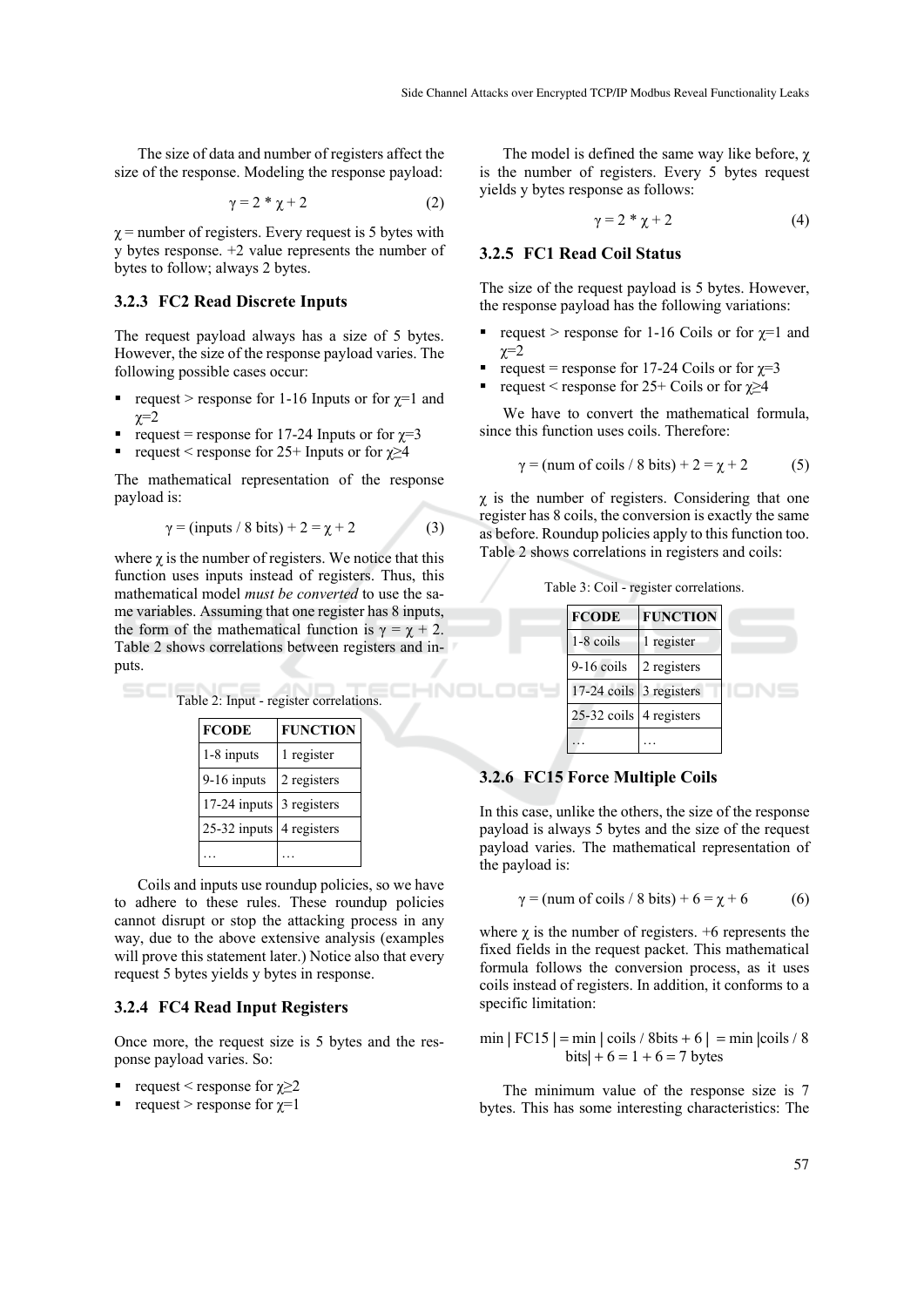The size of data and number of registers affect the size of the response. Modeling the response payload:

$$
\gamma = 2 * \chi + 2 \tag{2}
$$

 $\gamma$  = number of registers. Every request is 5 bytes with y bytes response. +2 value represents the number of bytes to follow; always 2 bytes.

#### **3.2.3 FC2 Read Discrete Inputs**

The request payload always has a size of 5 bytes. However, the size of the response payload varies. The following possible cases occur:

- request > response for 1-16 Inputs or for  $\chi$ =1 and  $x=2$
- request = response for 17-24 Inputs or for  $χ=3$
- request < response for 25+ Inputs or for  $\gamma \geq 4$

The mathematical representation of the response payload is:

$$
\gamma = (\text{inputs} / 8 \text{ bits}) + 2 = \chi + 2 \tag{3}
$$

where  $\chi$  is the number of registers. We notice that this function uses inputs instead of registers. Thus, this mathematical model *must be converted* to use the same variables. Assuming that one register has 8 inputs, the form of the mathematical function is  $\gamma = \chi + 2$ . Table 2 shows correlations between registers and inputs.

|                          | Table 2: Input - register correlations. |
|--------------------------|-----------------------------------------|
| <b>FCODE</b>             | <b>FUNCTION</b>                         |
| 1-8 inputs               | 1 register                              |
| $9-16$ inputs            | 2 registers                             |
| 17-24 inputs 3 registers |                                         |
| 25-32 inputs 4 registers |                                         |
|                          |                                         |

Coils and inputs use roundup policies, so we have to adhere to these rules. These roundup policies cannot disrupt or stop the attacking process in any way, due to the above extensive analysis (examples will prove this statement later.) Notice also that every request 5 bytes yields y bytes in response.

#### **3.2.4 FC4 Read Input Registers**

Once more, the request size is 5 bytes and the response payload varies. So:

- request < response for  $\gamma \geq 2$
- request > response for  $\chi=1$

The model is defined the same way like before,  $\chi$ is the number of registers. Every 5 bytes request yields y bytes response as follows:

$$
\gamma = 2 * \chi + 2 \tag{4}
$$

#### **3.2.5 FC1 Read Coil Status**

The size of the request payload is 5 bytes. However, the response payload has the following variations:

- request > response for 1-16 Coils or for  $\gamma=1$  and  $x=2$
- request = response for 17-24 Coils or for  $\gamma=3$
- request < response for  $25+$  Coils or for  $\gamma \geq 4$

We have to convert the mathematical formula, since this function uses coils. Therefore:

 $γ = (num of coils / 8 bits) + 2 = χ + 2$  (5)

 $\chi$  is the number of registers. Considering that one register has 8 coils, the conversion is exactly the same as before. Roundup policies apply to this function too. Table 2 shows correlations in registers and coils:

Table 3: Coil - register correlations.



#### **3.2.6 FC15 Force Multiple Coils**

In this case, unlike the others, the size of the response payload is always 5 bytes and the size of the request payload varies. The mathematical representation of the payload is:

$$
\gamma = (\text{num of coils} / 8 \text{ bits}) + 6 = \chi + 6 \tag{6}
$$

where  $\chi$  is the number of registers. +6 represents the fixed fields in the request packet. This mathematical formula follows the conversion process, as it uses coils instead of registers. In addition, it conforms to a specific limitation:

 $min | FCI5 | = min | coils / 8bits + 6 | = min | coils / 8$  $bits + 6 = 1 + 6 = 7 bytes$ 

The minimum value of the response size is 7 bytes. This has some interesting characteristics: The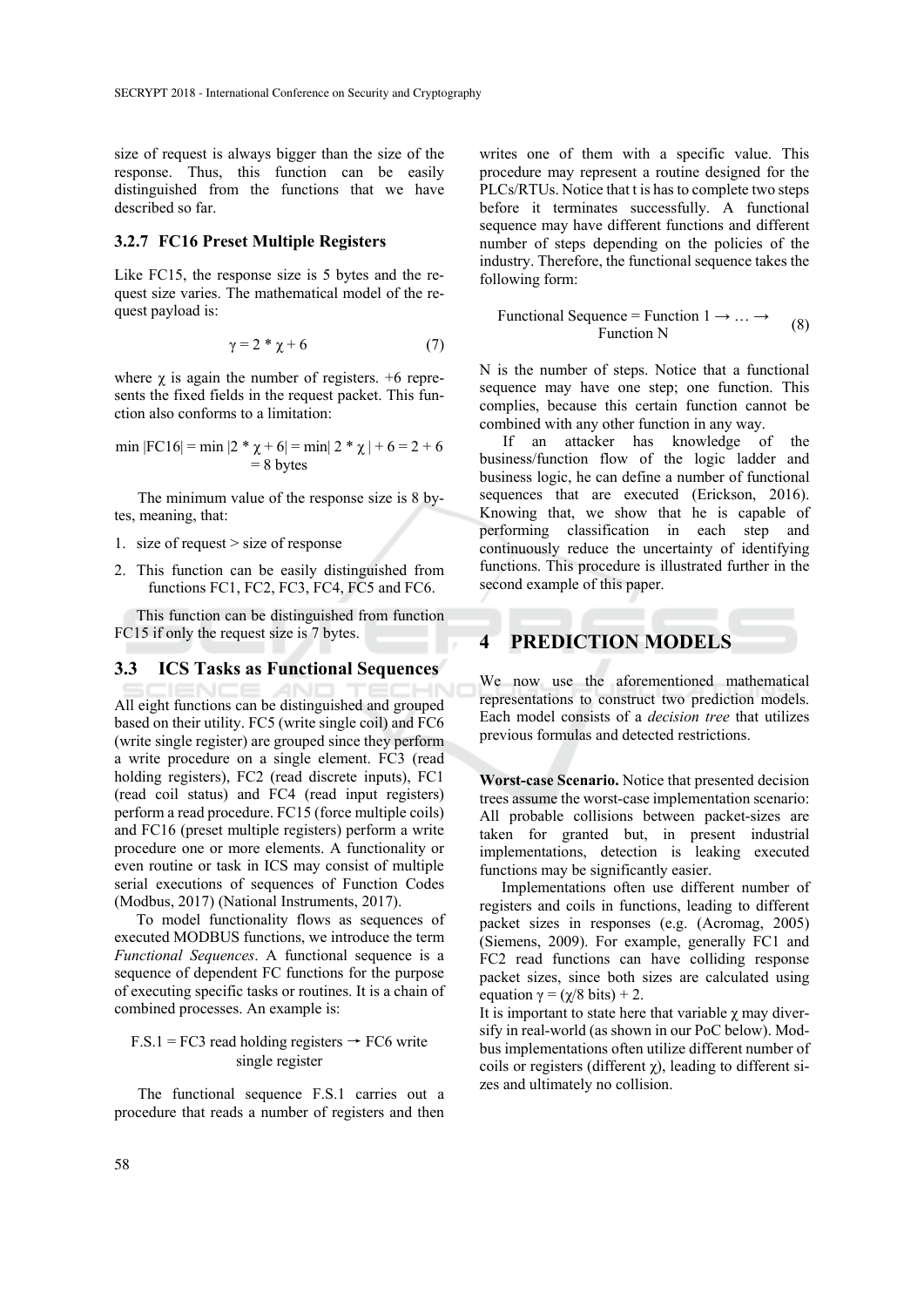size of request is always bigger than the size of the response. Thus, this function can be easily distinguished from the functions that we have described so far.

#### **3.2.7 FC16 Preset Multiple Registers**

Like FC15, the response size is 5 bytes and the request size varies. The mathematical model of the request payload is:

$$
\gamma = 2 * \chi + 6 \tag{7}
$$

where  $\chi$  is again the number of registers.  $+6$  represents the fixed fields in the request packet. This function also conforms to a limitation:

min |FC16| = min |2 \* 
$$
\chi
$$
 + 6| = min | 2 \*  $\chi$  | + 6 = 2 + 6  
= 8 bytes

The minimum value of the response size is 8 bytes, meaning, that:

- 1. size of request > size of response
- 2. This function can be easily distinguished from functions FC1, FC2, FC3, FC4, FC5 and FC6.

This function can be distinguished from function FC15 if only the request size is 7 bytes.

#### **3.3 ICS Tasks as Functional Sequences**

All eight functions can be distinguished and grouped based on their utility. FC5 (write single coil) and FC6 (write single register) are grouped since they perform a write procedure on a single element. FC3 (read holding registers), FC2 (read discrete inputs), FC1 (read coil status) and FC4 (read input registers) perform a read procedure. FC15 (force multiple coils) and FC16 (preset multiple registers) perform a write procedure one or more elements. A functionality or even routine or task in ICS may consist of multiple serial executions of sequences of Function Codes (Modbus, 2017) (National Instruments, 2017).

To model functionality flows as sequences of executed MODBUS functions, we introduce the term *Functional Sequences*. A functional sequence is a sequence of dependent FC functions for the purpose of executing specific tasks or routines. It is a chain of combined processes. An example is:

#### $F.S.1 = FC3$  read holding registers  $\rightarrow FC6$  write single register

The functional sequence F.S.1 carries out a procedure that reads a number of registers and then

writes one of them with a specific value. This procedure may represent a routine designed for the PLCs/RTUs. Notice that t is has to complete two steps before it terminates successfully. A functional sequence may have different functions and different number of steps depending on the policies of the industry. Therefore, the functional sequence takes the following form:

$$
Functional Sequence = Function 1 \rightarrow ... \rightarrow
$$
\n
$$
Function N
$$
\n(8)

N is the number of steps. Notice that a functional sequence may have one step; one function. This complies, because this certain function cannot be combined with any other function in any way.

If an attacker has knowledge of the business/function flow of the logic ladder and business logic, he can define a number of functional sequences that are executed (Erickson, 2016). Knowing that, we show that he is capable of performing classification in each step and continuously reduce the uncertainty of identifying functions. This procedure is illustrated further in the second example of this paper.

## **4 PREDICTION MODELS**

We now use the aforementioned mathematical representations to construct two prediction models. Each model consists of a *decision tree* that utilizes previous formulas and detected restrictions.

**Worst-case Scenario.** Notice that presented decision trees assume the worst-case implementation scenario: All probable collisions between packet-sizes are taken for granted but, in present industrial implementations, detection is leaking executed functions may be significantly easier.

Implementations often use different number of registers and coils in functions, leading to different packet sizes in responses (e.g. (Acromag, 2005) (Siemens, 2009). For example, generally FC1 and FC2 read functions can have colliding response packet sizes, since both sizes are calculated using equation  $\gamma = (\gamma/8 \text{ bits}) + 2$ .

It is important to state here that variable  $\chi$  may diversify in real-world (as shown in our PoC below). Modbus implementations often utilize different number of coils or registers (different  $\chi$ ), leading to different sizes and ultimately no collision.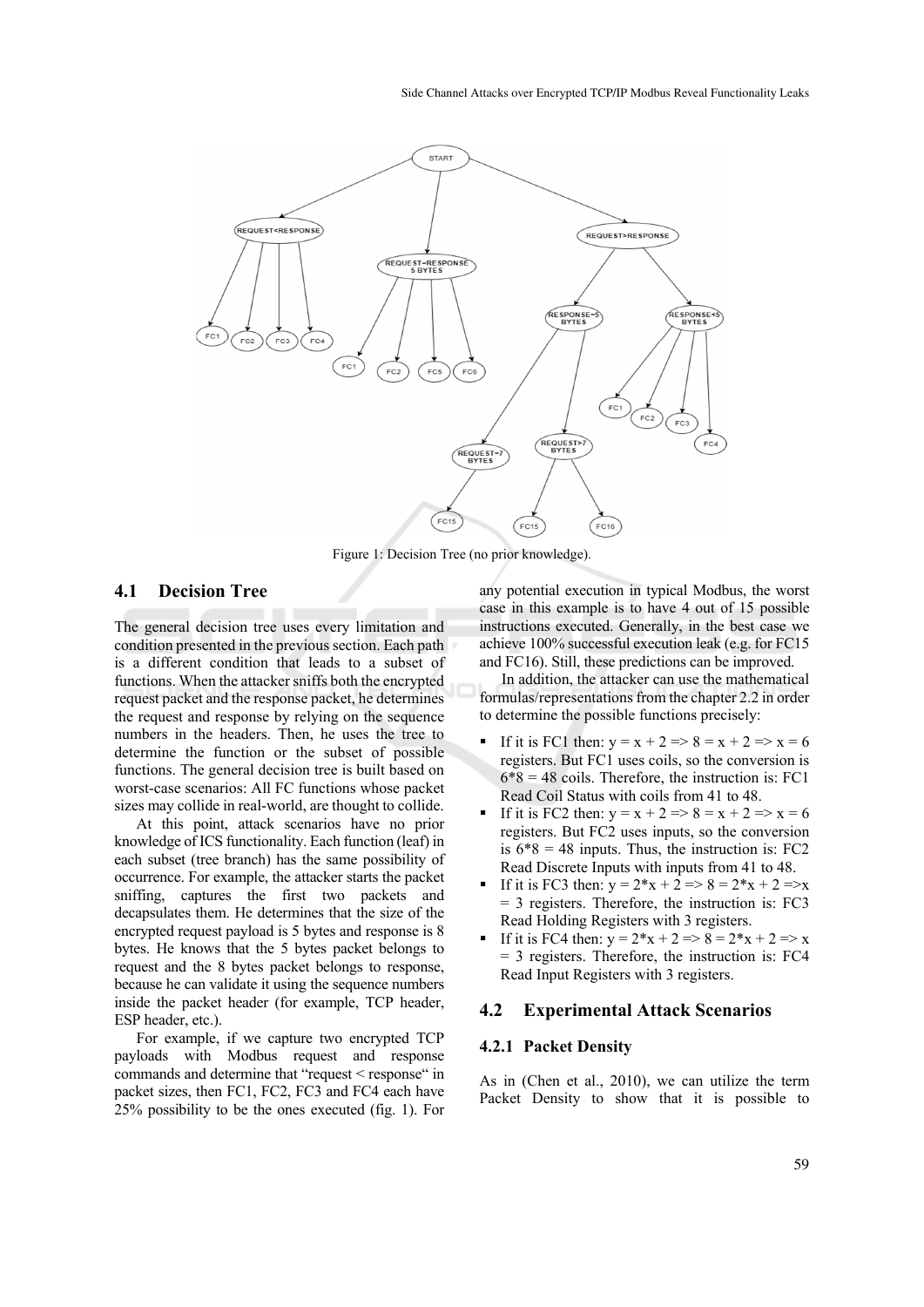

Figure 1: Decision Tree (no prior knowledge).

### **4.1 Decision Tree**

The general decision tree uses every limitation and condition presented in the previous section. Each path is a different condition that leads to a subset of functions. When the attacker sniffs both the encrypted request packet and the response packet, he determines the request and response by relying on the sequence numbers in the headers. Then, he uses the tree to determine the function or the subset of possible functions. The general decision tree is built based on worst-case scenarios: All FC functions whose packet sizes may collide in real-world, are thought to collide.

At this point, attack scenarios have no prior knowledge of ICS functionality. Each function (leaf) in each subset (tree branch) has the same possibility of occurrence. For example, the attacker starts the packet sniffing, captures the first two packets and decapsulates them. He determines that the size of the encrypted request payload is 5 bytes and response is 8 bytes. He knows that the 5 bytes packet belongs to request and the 8 bytes packet belongs to response, because he can validate it using the sequence numbers inside the packet header (for example, TCP header, ESP header, etc.).

For example, if we capture two encrypted TCP payloads with Modbus request and response commands and determine that "request < response" in packet sizes, then FC1, FC2, FC3 and FC4 each have 25% possibility to be the ones executed (fig. 1). For

any potential execution in typical Modbus, the worst case in this example is to have 4 out of 15 possible instructions executed. Generally, in the best case we achieve 100% successful execution leak (e.g. for FC15 and FC16). Still, these predictions can be improved.

In addition, the attacker can use the mathematical formulas/representations from the chapter 2.2 in order to determine the possible functions precisely:

- If it is FC1 then:  $y = x + 2 \Rightarrow 8 = x + 2 \Rightarrow x = 6$ registers. But FC1 uses coils, so the conversion is  $6*8 = 48$  coils. Therefore, the instruction is: FC1 Read Coil Status with coils from 41 to 48.
- If it is FC2 then:  $y = x + 2 \Rightarrow 8 = x + 2 \Rightarrow x = 6$ registers. But FC2 uses inputs, so the conversion is  $6*8 = 48$  inputs. Thus, the instruction is: FC2 Read Discrete Inputs with inputs from 41 to 48.
- If it is FC3 then:  $y = 2*x + 2 \Rightarrow 8 = 2*x + 2 \Rightarrow x$ = 3 registers. Therefore, the instruction is: FC3 Read Holding Registers with 3 registers.
- If it is FC4 then:  $y = 2*x + 2 \Rightarrow 8 = 2*x + 2 \Rightarrow x$ = 3 registers. Therefore, the instruction is: FC4 Read Input Registers with 3 registers.

#### **4.2 Experimental Attack Scenarios**

#### **4.2.1 Packet Density**

As in (Chen et al., 2010), we can utilize the term Packet Density to show that it is possible to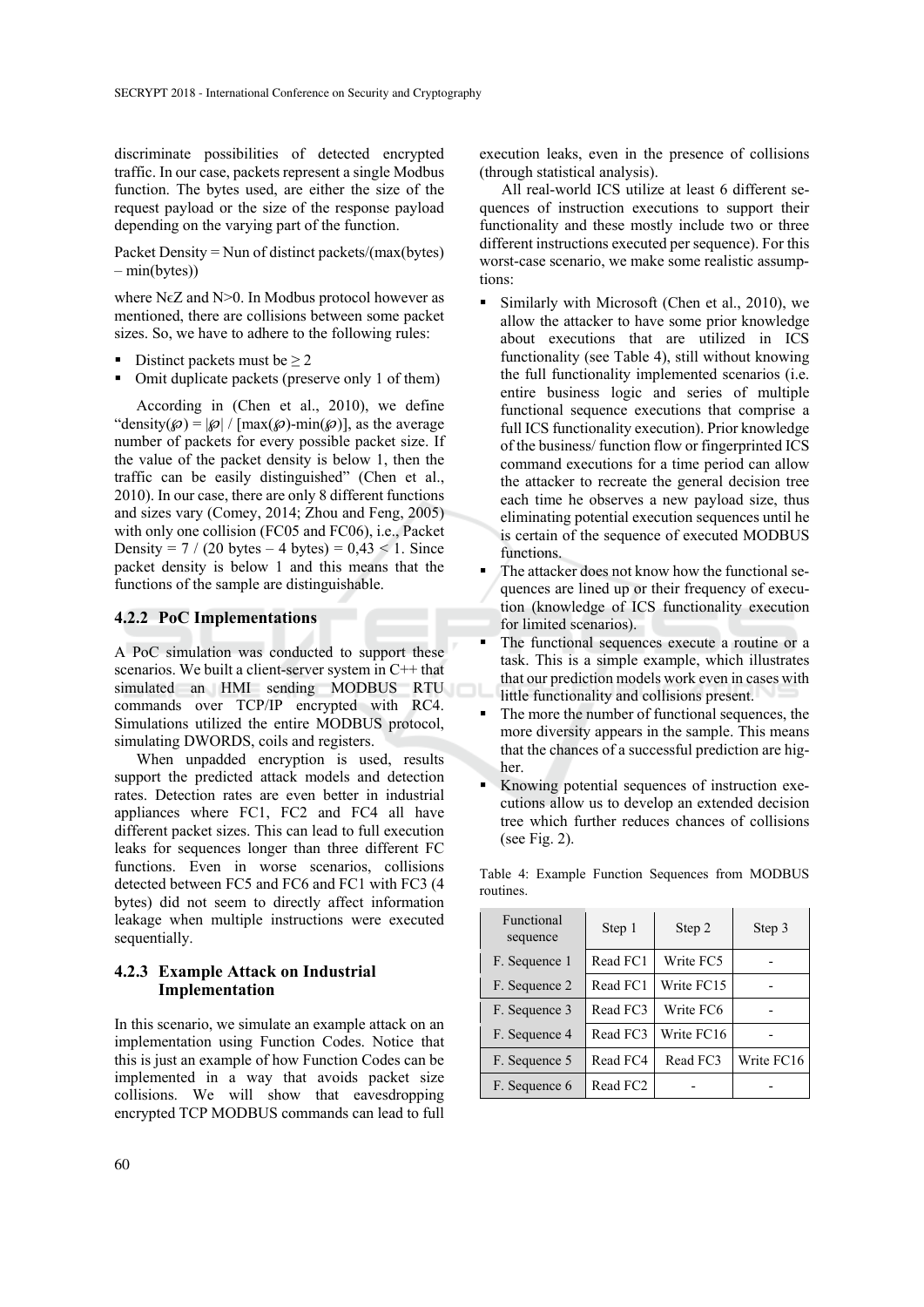discriminate possibilities of detected encrypted traffic. In our case, packets represent a single Modbus function. The bytes used, are either the size of the request payload or the size of the response payload depending on the varying part of the function.

Packet Density = Nun of distinct packets/(max(bytes) – min(bytes))

where  $N\epsilon Z$  and  $N>0$ . In Modbus protocol however as mentioned, there are collisions between some packet sizes. So, we have to adhere to the following rules:

- Distinct packets must be  $\geq 2$
- Omit duplicate packets (preserve only 1 of them)

According in (Chen et al., 2010), we define "density( $\mathcal{O} = |\mathcal{O}| / [\max(\mathcal{O}) - \min(\mathcal{O})]$ , as the average number of packets for every possible packet size. If the value of the packet density is below 1, then the traffic can be easily distinguished" (Chen et al., 2010). In our case, there are only 8 different functions and sizes vary (Comey, 2014; Zhou and Feng, 2005) with only one collision (FC05 and FC06), i.e., Packet Density =  $7 / (20 \text{ bytes} - 4 \text{ bytes}) = 0.43 < 1$ . Since packet density is below 1 and this means that the functions of the sample are distinguishable.

#### **4.2.2 PoC Implementations**

A PoC simulation was conducted to support these scenarios. We built a client-server system in C++ that simulated an HMI sending MODBUS RTU commands over TCP/IP encrypted with RC4. Simulations utilized the entire MODBUS protocol, simulating DWORDS, coils and registers.

When unpadded encryption is used, results support the predicted attack models and detection rates. Detection rates are even better in industrial appliances where FC1, FC2 and FC4 all have different packet sizes. This can lead to full execution leaks for sequences longer than three different FC functions. Even in worse scenarios, collisions detected between FC5 and FC6 and FC1 with FC3 (4 bytes) did not seem to directly affect information leakage when multiple instructions were executed sequentially.

#### **4.2.3 Example Attack on Industrial Implementation**

In this scenario, we simulate an example attack on an implementation using Function Codes. Notice that this is just an example of how Function Codes can be implemented in a way that avoids packet size collisions. We will show that eavesdropping encrypted TCP MODBUS commands can lead to full

execution leaks, even in the presence of collisions (through statistical analysis).

All real-world ICS utilize at least 6 different sequences of instruction executions to support their functionality and these mostly include two or three different instructions executed per sequence). For this worst-case scenario, we make some realistic assumptions:

- Similarly with Microsoft (Chen et al., 2010), we allow the attacker to have some prior knowledge about executions that are utilized in ICS functionality (see Table 4), still without knowing the full functionality implemented scenarios (i.e. entire business logic and series of multiple functional sequence executions that comprise a full ICS functionality execution). Prior knowledge of the business/ function flow or fingerprinted ICS command executions for a time period can allow the attacker to recreate the general decision tree each time he observes a new payload size, thus eliminating potential execution sequences until he is certain of the sequence of executed MODBUS functions.
- The attacker does not know how the functional sequences are lined up or their frequency of execution (knowledge of ICS functionality execution for limited scenarios).
- The functional sequences execute a routine or a task. This is a simple example, which illustrates that our prediction models work even in cases with little functionality and collisions present.
- The more the number of functional sequences, the more diversity appears in the sample. This means that the chances of a successful prediction are higher.
- Knowing potential sequences of instruction executions allow us to develop an extended decision tree which further reduces chances of collisions (see Fig. 2).

| Functional<br>sequence | Step 1   | Step 2     | Step 3     |
|------------------------|----------|------------|------------|
| F. Sequence 1          | Read FC1 | Write FC5  |            |
| F. Sequence 2          | Read FC1 | Write FC15 |            |
| F. Sequence 3          | Read FC3 | Write FC6  |            |
| F. Sequence 4          | Read FC3 | Write FC16 |            |
| F. Sequence 5          | Read FC4 | Read FC3   | Write FC16 |
| F. Sequence 6          | Read FC2 |            |            |

Table 4: Example Function Sequences from MODBUS routines.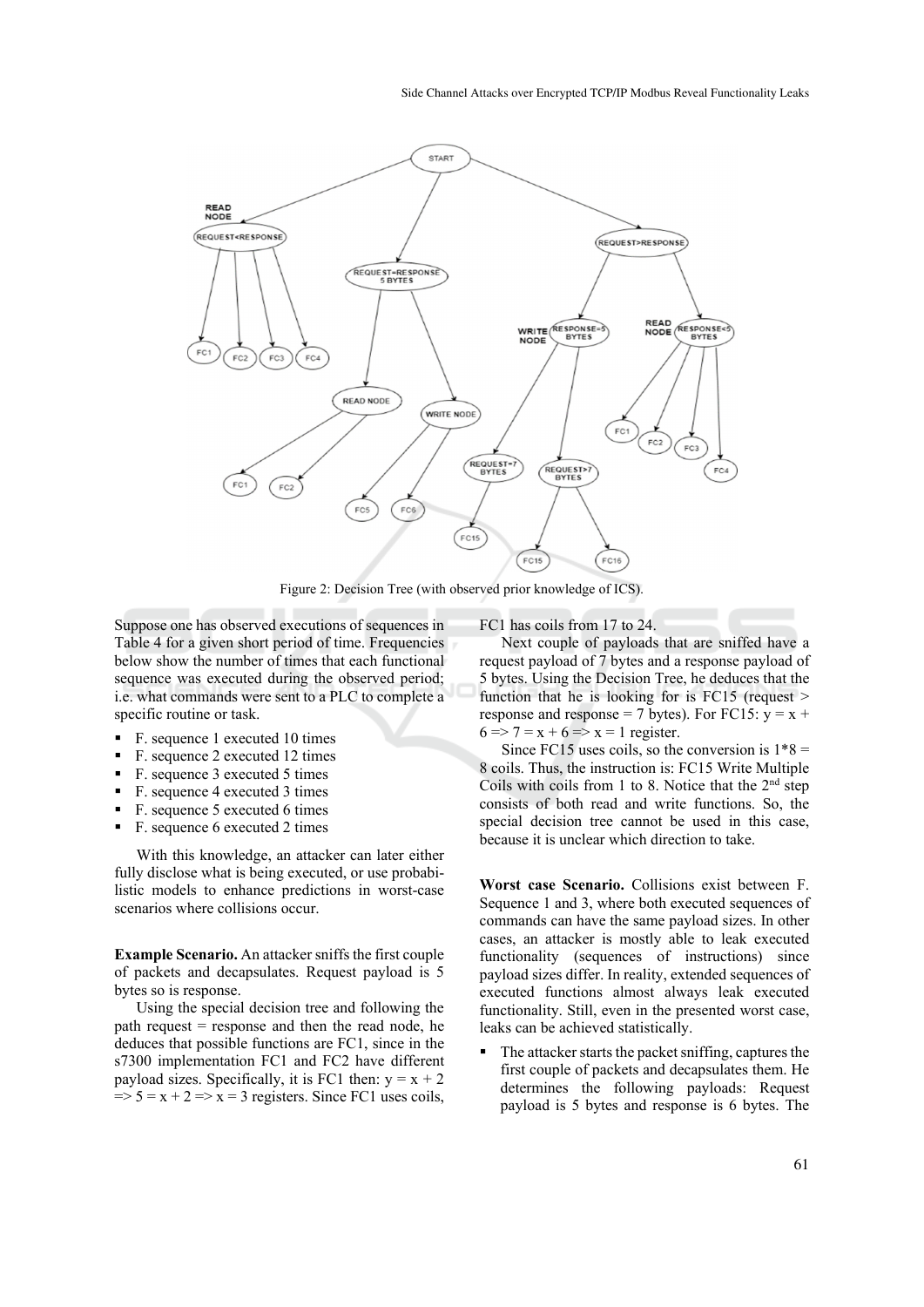

Figure 2: Decision Tree (with observed prior knowledge of ICS).

Suppose one has observed executions of sequences in Table 4 for a given short period of time. Frequencies below show the number of times that each functional sequence was executed during the observed period; i.e. what commands were sent to a PLC to complete a specific routine or task.

- F. sequence 1 executed 10 times
- F. sequence 2 executed 12 times
- F. sequence 3 executed 5 times
- F. sequence 4 executed 3 times
- F. sequence 5 executed 6 times
- F. sequence 6 executed 2 times

With this knowledge, an attacker can later either fully disclose what is being executed, or use probabilistic models to enhance predictions in worst-case scenarios where collisions occur.

**Example Scenario.** An attacker sniffs the first couple of packets and decapsulates. Request payload is 5 bytes so is response.

Using the special decision tree and following the path request = response and then the read node, he deduces that possible functions are FC1, since in the s7300 implementation FC1 and FC2 have different payload sizes. Specifically, it is FC1 then:  $y = x + 2$  $\Rightarrow$  5 = x + 2 => x = 3 registers. Since FC1 uses coils, FC1 has coils from 17 to 24.

Next couple of payloads that are sniffed have a request payload of 7 bytes and a response payload of 5 bytes. Using the Decision Tree, he deduces that the function that he is looking for is  $FC15$  (request  $>$ response and response = 7 bytes). For FC15:  $y = x +$  $6 \Rightarrow 7 = x + 6 \Rightarrow x = 1$  register.

Since FC15 uses coils, so the conversion is  $1*8 =$ 8 coils. Thus, the instruction is: FC15 Write Multiple Coils with coils from 1 to 8. Notice that the  $2<sup>nd</sup>$  step consists of both read and write functions. So, the special decision tree cannot be used in this case, because it is unclear which direction to take.

**Worst case Scenario.** Collisions exist between F. Sequence 1 and 3, where both executed sequences of commands can have the same payload sizes. In other cases, an attacker is mostly able to leak executed functionality (sequences of instructions) since payload sizes differ. In reality, extended sequences of executed functions almost always leak executed functionality. Still, even in the presented worst case, leaks can be achieved statistically.

 The attacker starts the packet sniffing, captures the first couple of packets and decapsulates them. He determines the following payloads: Request payload is 5 bytes and response is 6 bytes. The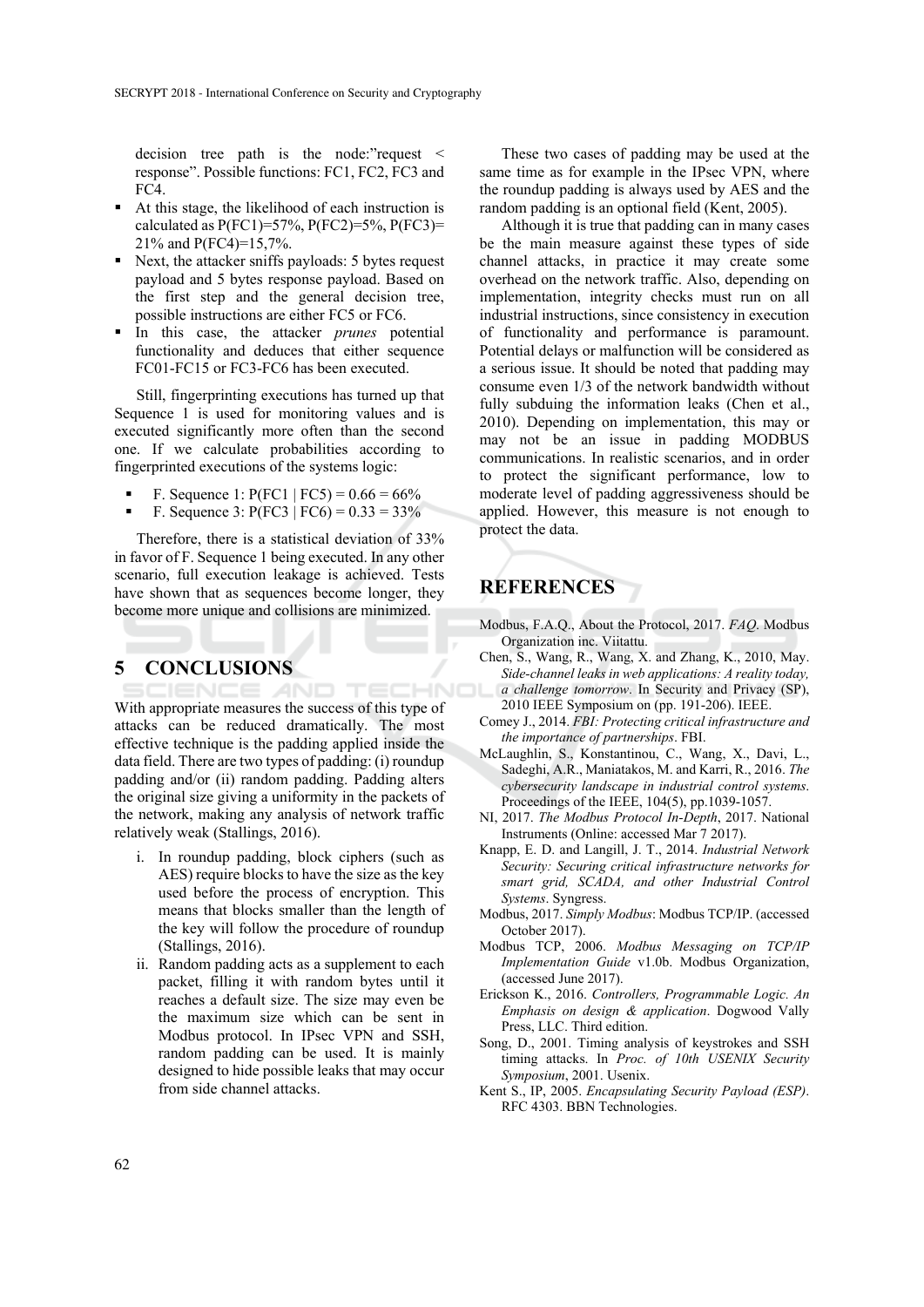decision tree path is the node:"request < response". Possible functions: FC1, FC2, FC3 and FC4.

- At this stage, the likelihood of each instruction is calculated as  $P(FC1)=57\%$ ,  $P(FC2)=5\%$ ,  $P(FC3)=$ 21% and P(FC4)=15,7%.
- Next, the attacker sniffs payloads: 5 bytes request payload and 5 bytes response payload. Based on the first step and the general decision tree, possible instructions are either FC5 or FC6.
- In this case, the attacker *prunes* potential functionality and deduces that either sequence FC01-FC15 or FC3-FC6 has been executed.

Still, fingerprinting executions has turned up that Sequence 1 is used for monitoring values and is executed significantly more often than the second one. If we calculate probabilities according to fingerprinted executions of the systems logic:

- F. Sequence 1:  $P(FC1 | FC5) = 0.66 = 66\%$
- F. Sequence 3:  $P(FC3 | FC6) = 0.33 = 33\%$

Therefore, there is a statistical deviation of 33% in favor of F. Sequence 1 being executed. In any other scenario, full execution leakage is achieved. Tests have shown that as sequences become longer, they become more unique and collisions are minimized.

## **5 CONCLUSIONS**

**IHNO** With appropriate measures the success of this type of attacks can be reduced dramatically. The most effective technique is the padding applied inside the data field. There are two types of padding: (i) roundup padding and/or (ii) random padding. Padding alters the original size giving a uniformity in the packets of the network, making any analysis of network traffic relatively weak (Stallings, 2016).

- i. In roundup padding, block ciphers (such as AES) require blocks to have the size as the key used before the process of encryption. This means that blocks smaller than the length of the key will follow the procedure of roundup (Stallings, 2016).
- ii. Random padding acts as a supplement to each packet, filling it with random bytes until it reaches a default size. The size may even be the maximum size which can be sent in Modbus protocol. In IPsec VPN and SSH, random padding can be used. It is mainly designed to hide possible leaks that may occur from side channel attacks.

These two cases of padding may be used at the same time as for example in the IPsec VPN, where the roundup padding is always used by AES and the random padding is an optional field (Kent, 2005).

Although it is true that padding can in many cases be the main measure against these types of side channel attacks, in practice it may create some overhead on the network traffic. Also, depending on implementation, integrity checks must run on all industrial instructions, since consistency in execution of functionality and performance is paramount. Potential delays or malfunction will be considered as a serious issue. It should be noted that padding may consume even 1/3 of the network bandwidth without fully subduing the information leaks (Chen et al., 2010). Depending on implementation, this may or may not be an issue in padding MODBUS communications. In realistic scenarios, and in order to protect the significant performance, low to moderate level of padding aggressiveness should be applied. However, this measure is not enough to protect the data.

# **REFERENCES**

- Modbus, F.A.Q., About the Protocol, 2017. *FAQ*. Modbus Organization inc. Viitattu.
- Chen, S., Wang, R., Wang, X. and Zhang, K., 2010, May. *Side-channel leaks in web applications: A reality today, a challenge tomorrow*. In Security and Privacy (SP), 2010 IEEE Symposium on (pp. 191-206). IEEE.
- Comey J., 2014. *FBI: Protecting critical infrastructure and the importance of partnerships*. FBI.
- McLaughlin, S., Konstantinou, C., Wang, X., Davi, L., Sadeghi, A.R., Maniatakos, M. and Karri, R., 2016. *The cybersecurity landscape in industrial control systems*. Proceedings of the IEEE, 104(5), pp.1039-1057.
- NI, 2017. *The Modbus Protocol In-Depth*, 2017. National Instruments (Online: accessed Mar 7 2017).
- Knapp, E. D. and Langill, J. T., 2014. *Industrial Network Security: Securing critical infrastructure networks for smart grid, SCADA, and other Industrial Control Systems*. Syngress.
- Modbus, 2017. *Simply Modbus*: Modbus TCP/IP. (accessed October 2017).
- Modbus TCP, 2006. *Modbus Messaging on TCP/IP Implementation Guide* v1.0b. Modbus Organization, (accessed June 2017).
- Erickson K., 2016. *Controllers, Programmable Logic. An Emphasis on design & application*. Dogwood Vally Press, LLC. Third edition.
- Song, D., 2001. Timing analysis of keystrokes and SSH timing attacks. In *Proc. of 10th USENIX Security Symposium*, 2001. Usenix.
- Kent S., IP, 2005. *Encapsulating Security Payload (ESP)*. RFC 4303. BBN Technologies.